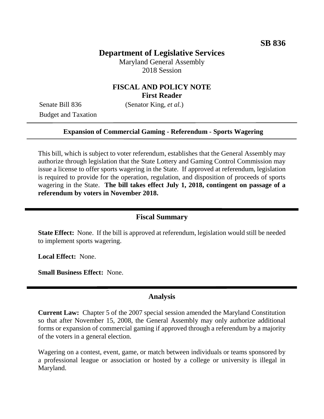## **Department of Legislative Services**

Maryland General Assembly 2018 Session

## **FISCAL AND POLICY NOTE First Reader**

Senate Bill 836 (Senator King, *et al.*) Budget and Taxation

### **Expansion of Commercial Gaming - Referendum - Sports Wagering**

This bill, which is subject to voter referendum, establishes that the General Assembly may authorize through legislation that the State Lottery and Gaming Control Commission may issue a license to offer sports wagering in the State. If approved at referendum, legislation is required to provide for the operation, regulation, and disposition of proceeds of sports wagering in the State. **The bill takes effect July 1, 2018, contingent on passage of a referendum by voters in November 2018.**

### **Fiscal Summary**

**State Effect:** None. If the bill is approved at referendum, legislation would still be needed to implement sports wagering.

**Local Effect:** None.

**Small Business Effect:** None.

### **Analysis**

**Current Law:** Chapter 5 of the 2007 special session amended the Maryland Constitution so that after November 15, 2008, the General Assembly may only authorize additional forms or expansion of commercial gaming if approved through a referendum by a majority of the voters in a general election.

Wagering on a contest, event, game, or match between individuals or teams sponsored by a professional league or association or hosted by a college or university is illegal in Maryland.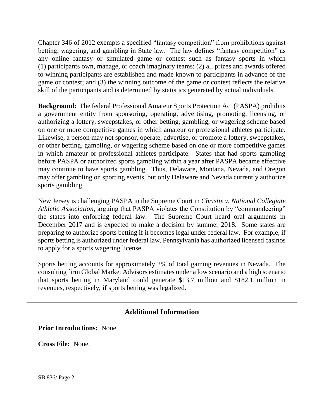Chapter 346 of 2012 exempts a specified "fantasy competition" from prohibitions against betting, wagering, and gambling in State law. The law defines "fantasy competition" as any online fantasy or simulated game or contest such as fantasy sports in which (1) participants own, manage, or coach imaginary teams; (2) all prizes and awards offered to winning participants are established and made known to participants in advance of the game or contest; and (3) the winning outcome of the game or contest reflects the relative skill of the participants and is determined by statistics generated by actual individuals.

**Background:** The federal Professional Amateur Sports Protection Act (PASPA) prohibits a government entity from sponsoring, operating, advertising, promoting, licensing, or authorizing a lottery, sweepstakes, or other betting, gambling, or wagering scheme based on one or more competitive games in which amateur or professional athletes participate. Likewise, a person may not sponsor, operate, advertise, or promote a lottery, sweepstakes, or other betting, gambling, or wagering scheme based on one or more competitive games in which amateur or professional athletes participate. States that had sports gambling before PASPA or authorized sports gambling within a year after PASPA became effective may continue to have sports gambling. Thus, Delaware, Montana, Nevada, and Oregon may offer gambling on sporting events, but only Delaware and Nevada currently authorize sports gambling.

New Jersey is challenging PASPA in the Supreme Court in *Christie v. National Collegiate Athletic Association*, arguing that PASPA violates the Constitution by "commandeering" the states into enforcing federal law. The Supreme Court heard oral arguments in December 2017 and is expected to make a decision by summer 2018. Some states are preparing to authorize sports betting if it becomes legal under federal law. For example, if sports betting is authorized under federal law, Pennsylvania has authorized licensed casinos to apply for a sports wagering license.

Sports betting accounts for approximately 2% of total gaming revenues in Nevada. The consulting firm Global Market Advisors estimates under a low scenario and a high scenario that sports betting in Maryland could generate \$13.7 million and \$182.1 million in revenues, respectively, if sports betting was legalized.

# **Additional Information**

**Prior Introductions:** None.

**Cross File:** None.